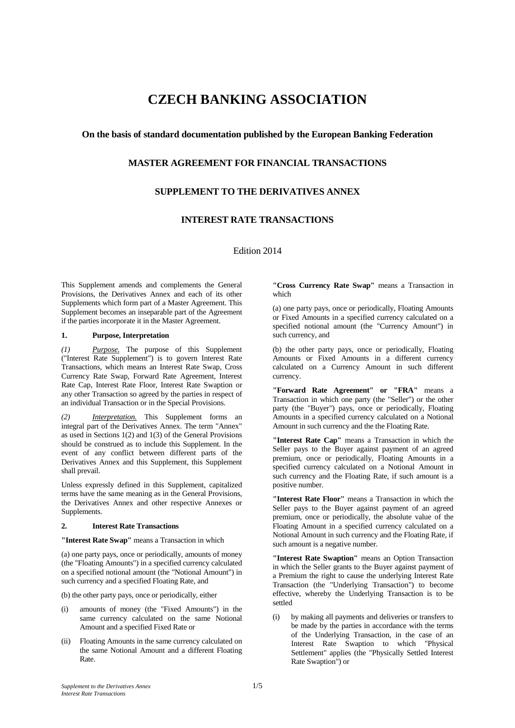# **CZECH BANKING ASSOCIATION**

# **On the basis of standard documentation published by the European Banking Federation**

# **MASTER AGREEMENT FOR FINANCIAL TRANSACTIONS**

## **SUPPLEMENT TO THE DERIVATIVES ANNEX**

# **INTEREST RATE TRANSACTIONS**

Edition 2014

This Supplement amends and complements the General Provisions, the Derivatives Annex and each of its other Supplements which form part of a Master Agreement. This Supplement becomes an inseparable part of the Agreement if the parties incorporate it in the Master Agreement.

## **1. Purpose, Interpretation**

*(1) Purpose.* The purpose of this Supplement ("Interest Rate Supplement") is to govern Interest Rate Transactions, which means an Interest Rate Swap, Cross Currency Rate Swap, Forward Rate Agreement, Interest Rate Cap, Interest Rate Floor, Interest Rate Swaption or any other Transaction so agreed by the parties in respect of an individual Transaction or in the Special Provisions.

*Interpretation.* This Supplement forms an integral part of the Derivatives Annex. The term "Annex" as used in Sections 1(2) and 1(3) of the General Provisions should be construed as to include this Supplement. In the event of any conflict between different parts of the Derivatives Annex and this Supplement, this Supplement shall prevail.

Unless expressly defined in this Supplement, capitalized terms have the same meaning as in the General Provisions, the Derivatives Annex and other respective Annexes or Supplements.

#### **2. Interest Rate Transactions**

**"Interest Rate Swap"** means a Transaction in which

(a) one party pays, once or periodically, amounts of money (the "Floating Amounts") in a specified currency calculated on a specified notional amount (the "Notional Amount") in such currency and a specified Floating Rate, and

(b) the other party pays, once or periodically, either

- (i) amounts of money (the "Fixed Amounts") in the same currency calculated on the same Notional Amount and a specified Fixed Rate or
- (ii) Floating Amounts in the same currency calculated on the same Notional Amount and a different Floating Rate.

**"Cross Currency Rate Swap"** means a Transaction in which

(a) one party pays, once or periodically, Floating Amounts or Fixed Amounts in a specified currency calculated on a specified notional amount (the "Currency Amount") in such currency, and

(b) the other party pays, once or periodically, Floating Amounts or Fixed Amounts in a different currency calculated on a Currency Amount in such different currency.

**"Forward Rate Agreement" or "FRA"** means a Transaction in which one party (the "Seller") or the other party (the "Buyer") pays, once or periodically, Floating Amounts in a specified currency calculated on a Notional Amount in such currency and the the Floating Rate.

**"Interest Rate Cap"** means a Transaction in which the Seller pays to the Buyer against payment of an agreed premium, once or periodically, Floating Amounts in a specified currency calculated on a Notional Amount in such currency and the Floating Rate, if such amount is a positive number.

**"Interest Rate Floor"** means a Transaction in which the Seller pays to the Buyer against payment of an agreed premium, once or periodically, the absolute value of the Floating Amount in a specified currency calculated on a Notional Amount in such currency and the Floating Rate, if such amount is a negative number.

**"Interest Rate Swaption"** means an Option Transaction in which the Seller grants to the Buyer against payment of a Premium the right to cause the underlying Interest Rate Transaction (the "Underlying Transaction") to become effective, whereby the Underlying Transaction is to be settled

(i) by making all payments and deliveries or transfers to be made by the parties in accordance with the terms of the Underlying Transaction, in the case of an Interest Rate Swaption to which "Physical Settlement" applies (the "Physically Settled Interest Rate Swaption") or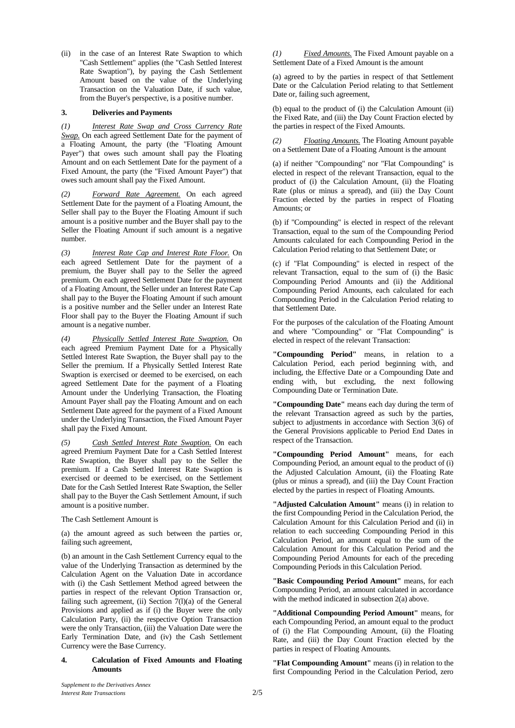(ii) in the case of an Interest Rate Swaption to which "Cash Settlement" applies (the "Cash Settled Interest Rate Swaption"), by paying the Cash Settlement Amount based on the value of the Underlying Transaction on the Valuation Date, if such value, from the Buyer's perspective, is a positive number.

## **3. Deliveries and Payments**

*(1) Interest Rate Swap and Cross Currency Rate Swap.* On each agreed Settlement Date for the payment of a Floating Amount, the party (the "Floating Amount Payer") that owes such amount shall pay the Floating Amount and on each Settlement Date for the payment of a Fixed Amount, the party (the "Fixed Amount Payer") that owes such amount shall pay the Fixed Amount.

*(2) Forward Rate Agreement.* On each agreed Settlement Date for the payment of a Floating Amount, the Seller shall pay to the Buyer the Floating Amount if such amount is a positive number and the Buyer shall pay to the Seller the Floating Amount if such amount is a negative number.

*(3) Interest Rate Cap and Interest Rate Floor.* On each agreed Settlement Date for the payment of a premium, the Buyer shall pay to the Seller the agreed premium. On each agreed Settlement Date for the payment of a Floating Amount, the Seller under an Interest Rate Cap shall pay to the Buyer the Floating Amount if such amount is a positive number and the Seller under an Interest Rate Floor shall pay to the Buyer the Floating Amount if such amount is a negative number.

*(4) Physically Settled Interest Rate Swaption.* On each agreed Premium Payment Date for a Physically Settled Interest Rate Swaption, the Buyer shall pay to the Seller the premium. If a Physically Settled Interest Rate Swaption is exercised or deemed to be exercised, on each agreed Settlement Date for the payment of a Floating Amount under the Underlying Transaction, the Floating Amount Payer shall pay the Floating Amount and on each Settlement Date agreed for the payment of a Fixed Amount under the Underlying Transaction, the Fixed Amount Payer shall pay the Fixed Amount.

*(5) Cash Settled Interest Rate Swaption.* On each agreed Premium Payment Date for a Cash Settled Interest Rate Swaption, the Buyer shall pay to the Seller the premium. If a Cash Settled Interest Rate Swaption is exercised or deemed to be exercised, on the Settlement Date for the Cash Settled Interest Rate Swaption, the Seller shall pay to the Buyer the Cash Settlement Amount, if such amount is a positive number.

## The Cash Settlement Amount is

(a) the amount agreed as such between the parties or, failing such agreement,

(b) an amount in the Cash Settlement Currency equal to the value of the Underlying Transaction as determined by the Calculation Agent on the Valuation Date in accordance with (i) the Cash Settlement Method agreed between the parties in respect of the relevant Option Transaction or, failing such agreement, (ii) Section  $7(1)(a)$  of the General Provisions and applied as if (i) the Buyer were the only Calculation Party, (ii) the respective Option Transaction were the only Transaction, (iii) the Valuation Date were the Early Termination Date, and (iv) the Cash Settlement Currency were the Base Currency.

#### **4. Calculation of Fixed Amounts and Floating Amounts**

*(1) Fixed Amounts.* The Fixed Amount payable on a Settlement Date of a Fixed Amount is the amount

(a) agreed to by the parties in respect of that Settlement Date or the Calculation Period relating to that Settlement Date or, failing such agreement,

(b) equal to the product of (i) the Calculation Amount (ii) the Fixed Rate, and (iii) the Day Count Fraction elected by the parties in respect of the Fixed Amounts.

*(2) Floating Amounts.* The Floating Amount payable on a Settlement Date of a Floating Amount is the amount

(a) if neither "Compounding" nor "Flat Compounding" is elected in respect of the relevant Transaction, equal to the product of (i) the Calculation Amount, (ii) the Floating Rate (plus or minus a spread), and (iii) the Day Count Fraction elected by the parties in respect of Floating Amounts; or

(b) if "Compounding" is elected in respect of the relevant Transaction, equal to the sum of the Compounding Period Amounts calculated for each Compounding Period in the Calculation Period relating to that Settlement Date; or

(c) if "Flat Compounding" is elected in respect of the relevant Transaction, equal to the sum of (i) the Basic Compounding Period Amounts and (ii) the Additional Compounding Period Amounts, each calculated for each Compounding Period in the Calculation Period relating to that Settlement Date.

For the purposes of the calculation of the Floating Amount and where "Compounding" or "Flat Compounding" is elected in respect of the relevant Transaction:

**"Compounding Period"** means, in relation to a Calculation Period, each period beginning with, and including, the Effective Date or a Compounding Date and ending with, but excluding, the next following Compounding Date or Termination Date.

**"Compounding Date"** means each day during the term of the relevant Transaction agreed as such by the parties, subject to adjustments in accordance with Section 3(6) of the General Provisions applicable to Period End Dates in respect of the Transaction.

**"Compounding Period Amount"** means, for each Compounding Period, an amount equal to the product of (i) the Adjusted Calculation Amount, (ii) the Floating Rate (plus or minus a spread), and (iii) the Day Count Fraction elected by the parties in respect of Floating Amounts.

**"Adjusted Calculation Amount"** means (i) in relation to the first Compounding Period in the Calculation Period, the Calculation Amount for this Calculation Period and (ii) in relation to each succeeding Compounding Period in this Calculation Period, an amount equal to the sum of the Calculation Amount for this Calculation Period and the Compounding Period Amounts for each of the preceding Compounding Periods in this Calculation Period.

**"Basic Compounding Period Amount"** means, for each Compounding Period, an amount calculated in accordance with the method indicated in subsection 2(a) above.

**"Additional Compounding Period Amount"** means, for each Compounding Period, an amount equal to the product of (i) the Flat Compounding Amount, (ii) the Floating Rate, and (iii) the Day Count Fraction elected by the parties in respect of Floating Amounts.

**"Flat Compounding Amount"** means (i) in relation to the first Compounding Period in the Calculation Period, zero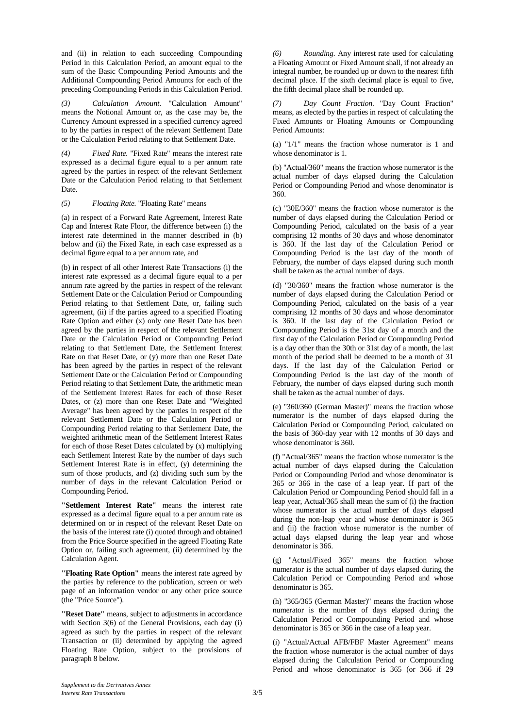and (ii) in relation to each succeeding Compounding Period in this Calculation Period, an amount equal to the sum of the Basic Compounding Period Amounts and the Additional Compounding Period Amounts for each of the preceding Compounding Periods in this Calculation Period.

*(3) Calculation Amount.* "Calculation Amount" means the Notional Amount or, as the case may be, the Currency Amount expressed in a specified currency agreed to by the parties in respect of the relevant Settlement Date or the Calculation Period relating to that Settlement Date.

*(4) Fixed Rate.* "Fixed Rate" means the interest rate expressed as a decimal figure equal to a per annum rate agreed by the parties in respect of the relevant Settlement Date or the Calculation Period relating to that Settlement Date.

#### *(5) Floating Rate.* "Floating Rate" means

(a) in respect of a Forward Rate Agreement, Interest Rate Cap and Interest Rate Floor, the difference between (i) the interest rate determined in the manner described in (b) below and (ii) the Fixed Rate, in each case expressed as a decimal figure equal to a per annum rate, and

(b) in respect of all other Interest Rate Transactions (i) the interest rate expressed as a decimal figure equal to a per annum rate agreed by the parties in respect of the relevant Settlement Date or the Calculation Period or Compounding Period relating to that Settlement Date, or, failing such agreement, (ii) if the parties agreed to a specified Floating Rate Option and either (x) only one Reset Date has been agreed by the parties in respect of the relevant Settlement Date or the Calculation Period or Compounding Period relating to that Settlement Date, the Settlement Interest Rate on that Reset Date, or (y) more than one Reset Date has been agreed by the parties in respect of the relevant Settlement Date or the Calculation Period or Compounding Period relating to that Settlement Date, the arithmetic mean of the Settlement Interest Rates for each of those Reset Dates, or (z) more than one Reset Date and "Weighted Average" has been agreed by the parties in respect of the relevant Settlement Date or the Calculation Period or Compounding Period relating to that Settlement Date, the weighted arithmetic mean of the Settlement Interest Rates for each of those Reset Dates calculated by (x) multiplying each Settlement Interest Rate by the number of days such Settlement Interest Rate is in effect, (y) determining the sum of those products, and (z) dividing such sum by the number of days in the relevant Calculation Period or Compounding Period.

**"Settlement Interest Rate"** means the interest rate expressed as a decimal figure equal to a per annum rate as determined on or in respect of the relevant Reset Date on the basis of the interest rate (i) quoted through and obtained from the Price Source specified in the agreed Floating Rate Option or, failing such agreement, (ii) determined by the Calculation Agent.

**"Floating Rate Option"** means the interest rate agreed by the parties by reference to the publication, screen or web page of an information vendor or any other price source (the "Price Source").

**"Reset Date"** means, subject to adjustments in accordance with Section 3(6) of the General Provisions, each day (i) agreed as such by the parties in respect of the relevant Transaction or (ii) determined by applying the agreed Floating Rate Option, subject to the provisions of paragraph 8 below.

*(6) Rounding.* Any interest rate used for calculating a Floating Amount or Fixed Amount shall, if not already an integral number, be rounded up or down to the nearest fifth decimal place. If the sixth decimal place is equal to five, the fifth decimal place shall be rounded up.

*(7) Day Count Fraction.* "Day Count Fraction" means, as elected by the parties in respect of calculating the Fixed Amounts or Floating Amounts or Compounding Period Amounts:

(a) "1/1" means the fraction whose numerator is 1 and whose denominator is 1.

(b) "Actual/360" means the fraction whose numerator is the actual number of days elapsed during the Calculation Period or Compounding Period and whose denominator is 360.

(c) "30E/360" means the fraction whose numerator is the number of days elapsed during the Calculation Period or Compounding Period, calculated on the basis of a year comprising 12 months of 30 days and whose denominator is 360. If the last day of the Calculation Period or Compounding Period is the last day of the month of February, the number of days elapsed during such month shall be taken as the actual number of days.

(d) "30/360" means the fraction whose numerator is the number of days elapsed during the Calculation Period or Compounding Period, calculated on the basis of a year comprising 12 months of 30 days and whose denominator is 360. If the last day of the Calculation Period or Compounding Period is the 31st day of a month and the first day of the Calculation Period or Compounding Period is a day other than the 30th or 31st day of a month, the last month of the period shall be deemed to be a month of 31 days. If the last day of the Calculation Period or Compounding Period is the last day of the month of February, the number of days elapsed during such month shall be taken as the actual number of days.

(e) "360/360 (German Master)" means the fraction whose numerator is the number of days elapsed during the Calculation Period or Compounding Period, calculated on the basis of 360-day year with 12 months of 30 days and whose denominator is 360.

(f) "Actual/365" means the fraction whose numerator is the actual number of days elapsed during the Calculation Period or Compounding Period and whose denominator is 365 or 366 in the case of a leap year. If part of the Calculation Period or Compounding Period should fall in a leap year, Actual/365 shall mean the sum of (i) the fraction whose numerator is the actual number of days elapsed during the non-leap year and whose denominator is 365 and (ii) the fraction whose numerator is the number of actual days elapsed during the leap year and whose denominator is 366.

"Actual/Fixed 365" means the fraction whose numerator is the actual number of days elapsed during the Calculation Period or Compounding Period and whose denominator is 365.

(h) "365/365 (German Master)" means the fraction whose numerator is the number of days elapsed during the Calculation Period or Compounding Period and whose denominator is 365 or 366 in the case of a leap year.

(i) "Actual/Actual AFB/FBF Master Agreement" means the fraction whose numerator is the actual number of days elapsed during the Calculation Period or Compounding Period and whose denominator is 365 (or 366 if 29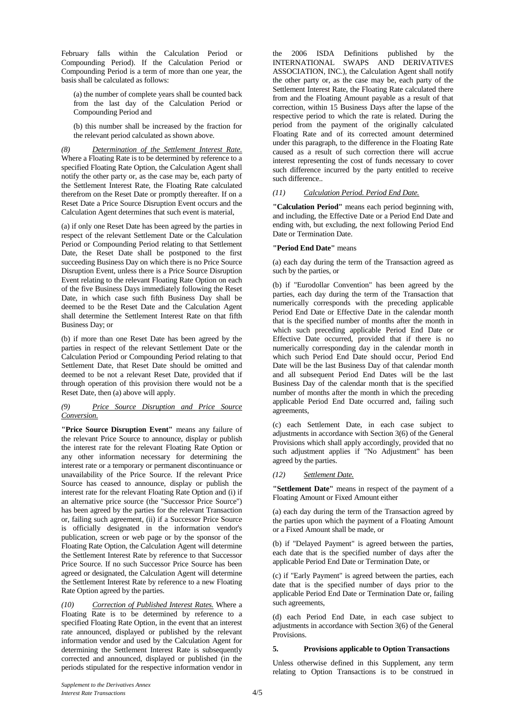February falls within the Calculation Period or Compounding Period). If the Calculation Period or Compounding Period is a term of more than one year, the basis shall be calculated as follows:

(a) the number of complete years shall be counted back from the last day of the Calculation Period or Compounding Period and

(b) this number shall be increased by the fraction for the relevant period calculated as shown above.

*(8) Determination of the Settlement Interest Rate.* Where a Floating Rate is to be determined by reference to a specified Floating Rate Option, the Calculation Agent shall notify the other party or, as the case may be, each party of the Settlement Interest Rate, the Floating Rate calculated therefrom on the Reset Date or promptly thereafter. If on a Reset Date a Price Source Disruption Event occurs and the Calculation Agent determines that such event is material,

(a) if only one Reset Date has been agreed by the parties in respect of the relevant Settlement Date or the Calculation Period or Compounding Period relating to that Settlement Date, the Reset Date shall be postponed to the first succeeding Business Day on which there is no Price Source Disruption Event, unless there is a Price Source Disruption Event relating to the relevant Floating Rate Option on each of the five Business Days immediately following the Reset Date, in which case such fifth Business Day shall be deemed to be the Reset Date and the Calculation Agent shall determine the Settlement Interest Rate on that fifth Business Day; or

(b) if more than one Reset Date has been agreed by the parties in respect of the relevant Settlement Date or the Calculation Period or Compounding Period relating to that Settlement Date, that Reset Date should be omitted and deemed to be not a relevant Reset Date, provided that if through operation of this provision there would not be a Reset Date, then (a) above will apply.

#### *(9) Price Source Disruption and Price Source Conversion.*

**"Price Source Disruption Event"** means any failure of the relevant Price Source to announce, display or publish the interest rate for the relevant Floating Rate Option or any other information necessary for determining the interest rate or a temporary or permanent discontinuance or unavailability of the Price Source. If the relevant Price Source has ceased to announce, display or publish the interest rate for the relevant Floating Rate Option and (i) if an alternative price source (the "Successor Price Source") has been agreed by the parties for the relevant Transaction or, failing such agreement, (ii) if a Successor Price Source is officially designated in the information vendor's publication, screen or web page or by the sponsor of the Floating Rate Option, the Calculation Agent will determine the Settlement Interest Rate by reference to that Successor Price Source. If no such Successor Price Source has been agreed or designated, the Calculation Agent will determine the Settlement Interest Rate by reference to a new Floating Rate Option agreed by the parties.

*(10) Correction of Published Interest Rates.* Where a Floating Rate is to be determined by reference to a specified Floating Rate Option, in the event that an interest rate announced, displayed or published by the relevant information vendor and used by the Calculation Agent for determining the Settlement Interest Rate is subsequently corrected and announced, displayed or published (in the periods stipulated for the respective information vendor in

the 2006 ISDA Definitions published by the INTERNATIONAL SWAPS AND DERIVATIVES ASSOCIATION, INC.), the Calculation Agent shall notify the other party or, as the case may be, each party of the Settlement Interest Rate, the Floating Rate calculated there from and the Floating Amount payable as a result of that correction, within 15 Business Days after the lapse of the respective period to which the rate is related. During the period from the payment of the originally calculated Floating Rate and of its corrected amount determined under this paragraph, to the difference in the Floating Rate caused as a result of such correction there will accrue interest representing the cost of funds necessary to cover such difference incurred by the party entitled to receive such difference..

# *(11) Calculation Period. Period End Date.*

**"Calculation Period"** means each period beginning with, and including, the Effective Date or a Period End Date and ending with, but excluding, the next following Period End Date or Termination Date.

## **"Period End Date"** means

(a) each day during the term of the Transaction agreed as such by the parties, or

(b) if "Eurodollar Convention" has been agreed by the parties, each day during the term of the Transaction that numerically corresponds with the preceding applicable Period End Date or Effective Date in the calendar month that is the specified number of months after the month in which such preceding applicable Period End Date or Effective Date occurred, provided that if there is no numerically corresponding day in the calendar month in which such Period End Date should occur, Period End Date will be the last Business Day of that calendar month and all subsequent Period End Dates will be the last Business Day of the calendar month that is the specified number of months after the month in which the preceding applicable Period End Date occurred and, failing such agreements,

(c) each Settlement Date, in each case subject to adjustments in accordance with Section 3(6) of the General Provisions which shall apply accordingly, provided that no such adjustment applies if "No Adjustment" has been agreed by the parties.

## *(12) Settlement Date.*

**"Settlement Date"** means in respect of the payment of a Floating Amount or Fixed Amount either

(a) each day during the term of the Transaction agreed by the parties upon which the payment of a Floating Amount or a Fixed Amount shall be made, or

(b) if "Delayed Payment" is agreed between the parties, each date that is the specified number of days after the applicable Period End Date or Termination Date, or

(c) if "Early Payment" is agreed between the parties, each date that is the specified number of days prior to the applicable Period End Date or Termination Date or, failing such agreements,

(d) each Period End Date, in each case subject to adjustments in accordance with Section 3(6) of the General Provisions.

#### **5. Provisions applicable to Option Transactions**

Unless otherwise defined in this Supplement, any term relating to Option Transactions is to be construed in